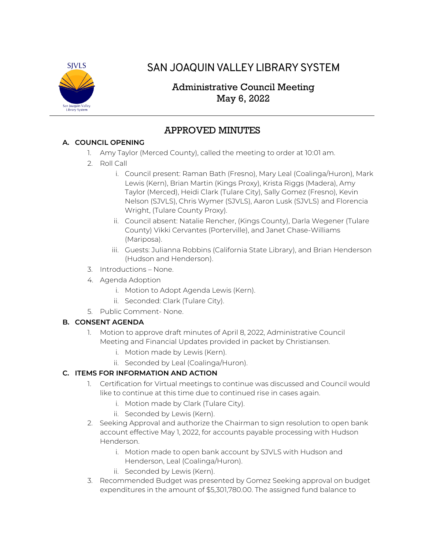

# SAN JOAQUIN VALLEY LIBRARY SYSTEM

## Administrative Council Meeting May 6, 2022

## APPROVED MINUTES

### **A. COUNCIL OPENING**

- 1. Amy Taylor (Merced County), called the meeting to order at 10:01 am.
- 2. Roll Call
	- i. Council present: Raman Bath (Fresno), Mary Leal (Coalinga/Huron), Mark Lewis (Kern), Brian Martin (Kings Proxy), Krista Riggs (Madera), Amy Taylor (Merced), Heidi Clark (Tulare City), Sally Gomez (Fresno), Kevin Nelson (SJVLS), Chris Wymer (SJVLS), Aaron Lusk (SJVLS) and Florencia Wright, (Tulare County Proxy).
	- ii. Council absent: Natalie Rencher, (Kings County), Darla Wegener (Tulare County) Vikki Cervantes (Porterville), and Janet Chase-Williams (Mariposa).
	- iii. Guests: Julianna Robbins (California State Library), and Brian Henderson (Hudson and Henderson).
- 3. Introductions None.
- 4. Agenda Adoption
	- i. Motion to Adopt Agenda Lewis (Kern).
	- ii. Seconded: Clark (Tulare City).
- 5. Public Comment- None.

### **B. CONSENT AGENDA**

- 1. Motion to approve draft minutes of April 8, 2022, Administrative Council Meeting and Financial Updates provided in packet by Christiansen.
	- i. Motion made by Lewis (Kern).
	- ii. Seconded by Leal (Coalinga/Huron).

### **C. ITEMS FOR INFORMATION AND ACTION**

- 1. Certification for Virtual meetings to continue was discussed and Council would like to continue at this time due to continued rise in cases again.
	- i. Motion made by Clark (Tulare City).
	- ii. Seconded by Lewis (Kern).
- 2. Seeking Approval and authorize the Chairman to sign resolution to open bank account effective May 1, 2022, for accounts payable processing with Hudson Henderson.
	- i. Motion made to open bank account by SJVLS with Hudson and Henderson, Leal (Coalinga/Huron).
	- ii. Seconded by Lewis (Kern).
- 3. Recommended Budget was presented by Gomez Seeking approval on budget expenditures in the amount of \$5,301,780.00. The assigned fund balance to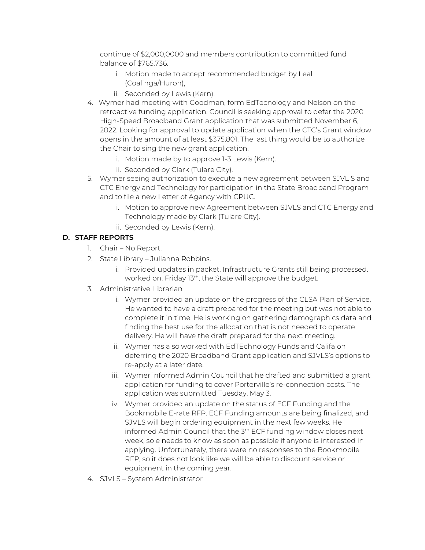continue of \$2,000,0000 and members contribution to committed fund balance of \$765,736.

- i. Motion made to accept recommended budget by Leal (Coalinga/Huron),
- ii. Seconded by Lewis (Kern).
- 4. Wymer had meeting with Goodman, form EdTecnology and Nelson on the retroactive funding application. Council is seeking approval to defer the 2020 High-Speed Broadband Grant application that was submitted November 6, 2022. Looking for approval to update application when the CTC's Grant window opens in the amount of at least \$375,801. The last thing would be to authorize the Chair to sing the new grant application.
	- i. Motion made by to approve 1-3 Lewis (Kern).
	- ii. Seconded by Clark (Tulare City).
- 5. Wymer seeing authorization to execute a new agreement between SJVL S and CTC Energy and Technology for participation in the State Broadband Program and to file a new Letter of Agency with CPUC.
	- i. Motion to approve new Agreement between SJVLS and CTC Energy and Technology made by Clark (Tulare City).
	- ii. Seconded by Lewis (Kern).

#### **D. STAFF REPORTS**

- 1. Chair No Report.
- 2. State Library Julianna Robbins.
	- i. Provided updates in packet. Infrastructure Grants still being processed. worked on. Friday 13th, the State will approve the budget.
- 3. Administrative Librarian
	- i. Wymer provided an update on the progress of the CLSA Plan of Service. He wanted to have a draft prepared for the meeting but was not able to complete it in time. He is working on gathering demographics data and finding the best use for the allocation that is not needed to operate delivery. He will have the draft prepared for the next meeting.
	- ii. Wymer has also worked with EdTEchnology Funds and Califa on deferring the 2020 Broadband Grant application and SJVLS's options to re-apply at a later date.
	- iii. Wymer informed Admin Council that he drafted and submitted a grant application for funding to cover Porterville's re-connection costs. The application was submitted Tuesday, May 3.
	- iv. Wymer provided an update on the status of ECF Funding and the Bookmobile E-rate RFP. ECF Funding amounts are being finalized, and SJVLS will begin ordering equipment in the next few weeks. He informed Admin Council that the 3<sup>rd</sup> ECF funding window closes next week, so e needs to know as soon as possible if anyone is interested in applying. Unfortunately, there were no responses to the Bookmobile RFP, so it does not look like we will be able to discount service or equipment in the coming year.
- 4. SJVLS System Administrator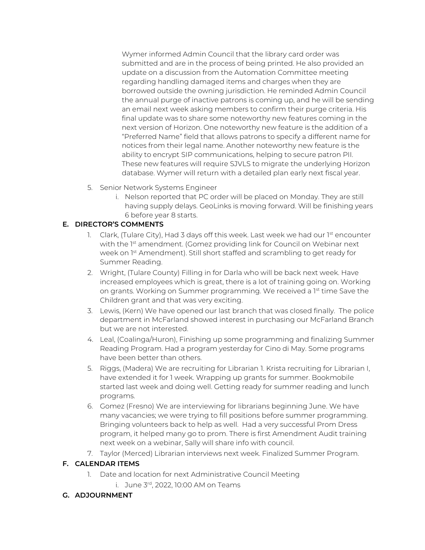Wymer informed Admin Council that the library card order was submitted and are in the process of being printed. He also provided an update on a discussion from the Automation Committee meeting regarding handling damaged items and charges when they are borrowed outside the owning jurisdiction. He reminded Admin Council the annual purge of inactive patrons is coming up, and he will be sending an email next week asking members to confirm their purge criteria. His final update was to share some noteworthy new features coming in the next version of Horizon. One noteworthy new feature is the addition of a "Preferred Name" field that allows patrons to specify a different name for notices from their legal name. Another noteworthy new feature is the ability to encrypt SIP communications, helping to secure patron PII. These new features will require SJVLS to migrate the underlying Horizon database. Wymer will return with a detailed plan early next fiscal year.

- 5. Senior Network Systems Engineer
	- i. Nelson reported that PC order will be placed on Monday. They are still having supply delays. GeoLinks is moving forward. Will be finishing years 6 before year 8 starts.

#### **E. DIRECTOR'S COMMENTS**

- 1. Clark, (Tulare City), Had 3 days off this week. Last week we had our 1st encounter with the 1<sup>st</sup> amendment. (Gomez providing link for Council on Webinar next week on 1st Amendment). Still short staffed and scrambling to get ready for Summer Reading.
- 2. Wright, (Tulare County) Filling in for Darla who will be back next week. Have increased employees which is great, there is a lot of training going on. Working on grants. Working on Summer programming. We received a 1st time Save the Children grant and that was very exciting.
- 3. Lewis, (Kern) We have opened our last branch that was closed finally. The police department in McFarland showed interest in purchasing our McFarland Branch but we are not interested.
- 4. Leal, (Coalinga/Huron), Finishing up some programming and finalizing Summer Reading Program. Had a program yesterday for Cino di May. Some programs have been better than others.
- 5. Riggs, (Madera) We are recruiting for Librarian 1. Krista recruiting for Librarian I, have extended it for 1 week. Wrapping up grants for summer. Bookmobile started last week and doing well. Getting ready for summer reading and lunch programs.
- 6. Gomez (Fresno) We are interviewing for librarians beginning June. We have many vacancies; we were trying to fill positions before summer programming. Bringing volunteers back to help as well. Had a very successful Prom Dress program, it helped many go to prom. There is first Amendment Audit training next week on a webinar, Sally will share info with council.
- 7. Taylor (Merced) Librarian interviews next week. Finalized Summer Program.

#### **F. CALENDAR ITEMS**

- 1. Date and location for next Administrative Council Meeting
	- i. June 3rd, 2022, 10:00 AM on Teams

#### **G. ADJOURNMENT**